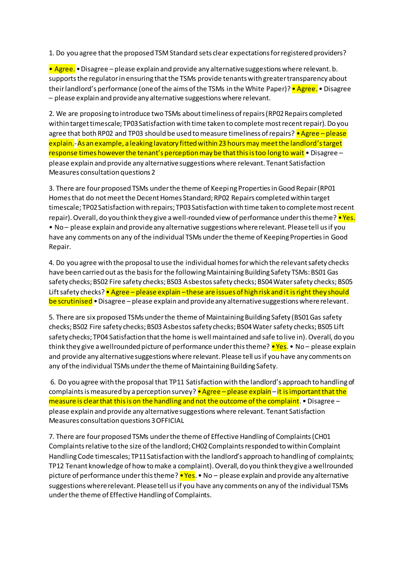1. Do you agree that the proposed TSM Standard sets clear expectations for registered providers?

• Agree. • Disagree – please explain and provide any alternative suggestions where relevant. b. supports the regulator in ensuring that the TSMs provide tenants with greater transparency about their landlord's performance (one of the aims of the TSMs in the White Paper)? • Agree. • Disagree – please explain and provide any alternative suggestions where relevant.

2. We are proposing to introduce two TSMs about timeliness of repairs (RP02 Repairs completed within target timescale; TP03 Satisfaction with time taken to complete most recent repair). Do you agree that both RP02 and TP03 should be used to measure timeliness of repairs? • Agree – please explain.-As an example, a leaking lavatory fitted within 23 hours may meet the landlord's target response times however the tenant's perception may be that this is too long to wait  $\bullet$  Disagree – please explain and provide any alternative suggestions where relevant. Tenant Satisfaction Measures consultation questions 2

3. There are four proposed TSMs under the theme of Keeping Properties in Good Repair (RP01 Homes that do not meet the Decent Homes Standard; RP02 Repairs completed within target timescale; TP02 Satisfaction with repairs; TP03 Satisfaction with time taken to complete most recent repair). Overall, do you think they give a well-rounded view of performance under this theme? • Yes. • No – please explain and provide any alternative suggestions where relevant. Please tell us if you have any comments on any of the individual TSMs under the theme of Keeping Properties in Good Repair.

4. Do you agree with the proposal to use the individual homes for which the relevant safety checks have been carried out as the basis for the following Maintaining Building Safety TSMs: BS01 Gas safety checks; BS02 Fire safety checks; BS03 Asbestos safety checks; BS04 Water safety checks; BS05 Lift safety checks? • Agree – please explain – these are issues of high risk and it is right they should be scrutinised • Disagree – please explain and provide any alternative suggestions where relevant.

5. There are six proposed TSMs under the theme of Maintaining Building Safety (BS01 Gas safety checks; BS02 Fire safety checks; BS03 Asbestos safety checks; BS04 Water safety checks; BS05 Lift safety checks; TP04 Satisfaction that the home is well maintained and safe to live in). Overall, do you think they give a wellrounded picture of performance under this theme? • Yes. • No – please explain and provide any alternative suggestions where relevant. Please tell us if you have any comments on any of the individual TSMs under the theme of Maintaining Building Safety.

6. Do you agree with the proposal that TP11 Satisfaction with the landlord's approach to handling of complaints is measured by a perception survey? • Agree – please explain – it is important that the measure is clear that this is on the handling and not the outcome of the complaint. • Disagree  $$ please explain and provide any alternative suggestions where relevant. Tenant Satisfaction Measures consultation questions 3 OFFICIAL

7. There are four proposed TSMs under the theme of Effective Handling of Complaints (CH01 Complaints relative to the size of the landlord; CH02 Complaints responded to within Complaint Handling Code timescales; TP11 Satisfaction with the landlord's approach to handling of complaints; TP12 Tenant knowledge of how to make a complaint). Overall, do you think they give a wellrounded picture of performance under this theme? • Yes. • No – please explain and provide any alternative suggestions where relevant. Please tell us if you have any comments on any of the individual TSMs under the theme of Effective Handling of Complaints.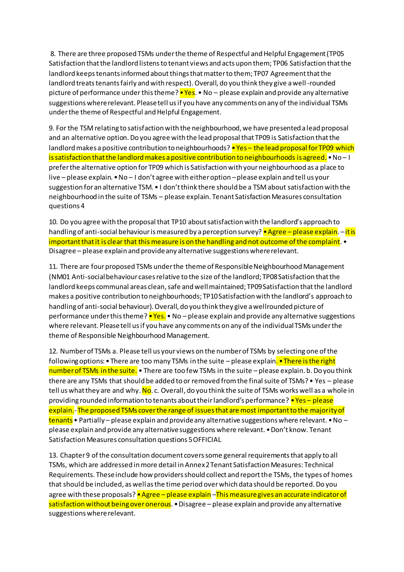8. There are three proposed TSMs under the theme of Respectful and Helpful Engagement (TP05 Satisfaction that the landlord listens to tenant views and acts upon them; TP06 Satisfaction that the landlord keeps tenants informed about things that matter to them; TP07 Agreement that the landlord treats tenants fairly and with respect). Overall, do you think they give a well-rounded picture of performance under this theme? • Yes. • No – please explain and provide any alternative suggestions where relevant. Please tell us if you have any comments on any of the individual TSMs under the theme of Respectful and Helpful Engagement.

9. For the TSM relating to satisfaction with the neighbourhood, we have presented a lead proposal and an alternative option. Do you agree with the lead proposal that TP09 is Satisfaction that the landlord makes a positive contribution to neighbourhoods? • Yes – the lead proposal for TP09 which is satisfaction that the landlord makes a positive contribution to neighbourhoods is agreed. • No – I prefer the alternative option for TP09 which is Satisfaction with your neighbourhood as a place to live – please explain. • No – I don't agree with either option –please explain and tell us your suggestion for an alternative TSM. • I don't think there should be a TSM about satisfaction with the neighbourhood in the suite of TSMs – please explain. Tenant Satisfaction Measures consultation questions 4

10. Do you agree with the proposal that TP10 about satisfaction with the landlord's approach to handling of anti-social behaviour is measured by a perception survey? • Agree – please explain. –it is important that it is clear that this measure is on the handling and not outcome of the complaint.  $\bullet$ Disagree – please explain and provide any alternative suggestions where relevant.

11. There are four proposed TSMs under the theme of Responsible Neighbourhood Management (NM01 Anti-social behaviour cases relative to the size of the landlord; TP08 Satisfaction that the landlord keeps communal areas clean, safe and well maintained; TP09 Satisfaction that the landlord makes a positive contribution to neighbourhoods; TP10 Satisfaction with the landlord's approach to handling of anti-social behaviour). Overall, do you think they give a wellrounded picture of performance under this theme? • Yes. • No – please explain and provide any alternative suggestions where relevant. Please tell us if you have any comments on any of the individual TSMs under the theme of Responsible Neighbourhood Management.

12. Number of TSMs a. Please tell us your views on the number of TSMs by selecting one of the following options: • There are too many TSMs in the suite – please explain. • There is the right number of TSMs in the suite.  $\bullet$  There are too few TSMs in the suite – please explain. b. Do you think there are any TSMs that should be added to or removed from the final suite of TSMs? • Yes – please tell us what they are and why. No. c. Overall, do you think the suite of TSMs works well as a whole in providing rounded information to tenants about their landlord's performance? • Yes – please explain.-The proposed TSMs cover the range of issues that are most important to the majority of tenants • Partially – please explain and provide any alternative suggestions where relevant. • No – please explain and provide any alternative suggestions where relevant. • Don't know. Tenant Satisfaction Measures consultation questions 5 OFFICIAL

13. Chapter 9 of the consultation document covers some general requirements that apply to all TSMs, which are addressed in more detail in Annex 2 Tenant Satisfaction Measures: Technical Requirements. These include how providers should collect and report the TSMs, the types of homes that should be included, as well as the time period over which data should be reported. Do you agree with these proposals? • Agree – please explain –Thismeasure gives an accurate indicator of satisfaction without being over onerous. • Disagree – please explain and provide any alternative suggestions where relevant.